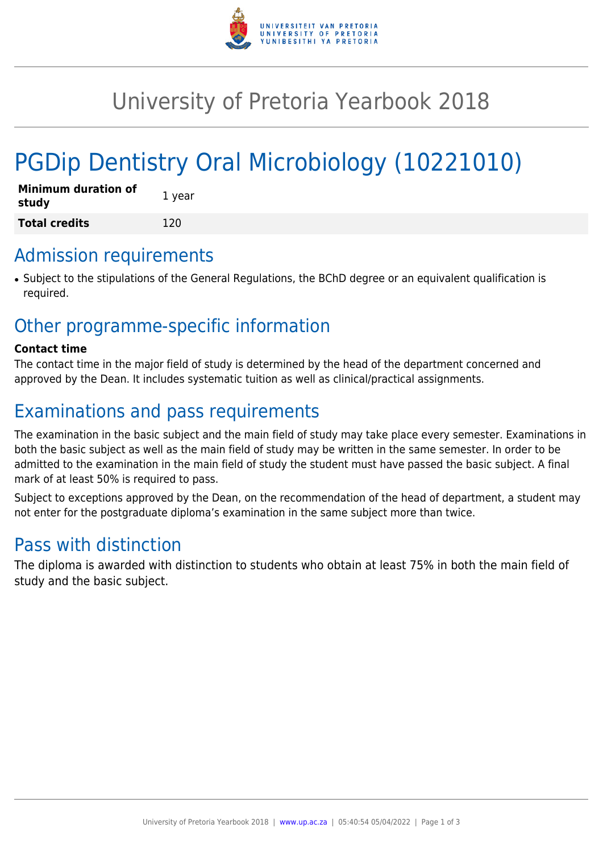

# University of Pretoria Yearbook 2018

# PGDip Dentistry Oral Microbiology (10221010)

| <b>Minimum duration of</b><br>study | 1 year |
|-------------------------------------|--------|
| <b>Total credits</b>                | 120    |

### Admission requirements

● Subject to the stipulations of the General Regulations, the BChD degree or an equivalent qualification is required.

## Other programme-specific information

#### **Contact time**

The contact time in the major field of study is determined by the head of the department concerned and approved by the Dean. It includes systematic tuition as well as clinical/practical assignments.

# Examinations and pass requirements

The examination in the basic subject and the main field of study may take place every semester. Examinations in both the basic subject as well as the main field of study may be written in the same semester. In order to be admitted to the examination in the main field of study the student must have passed the basic subject. A final mark of at least 50% is required to pass.

Subject to exceptions approved by the Dean, on the recommendation of the head of department, a student may not enter for the postgraduate diploma's examination in the same subject more than twice.

## Pass with distinction

The diploma is awarded with distinction to students who obtain at least 75% in both the main field of study and the basic subject.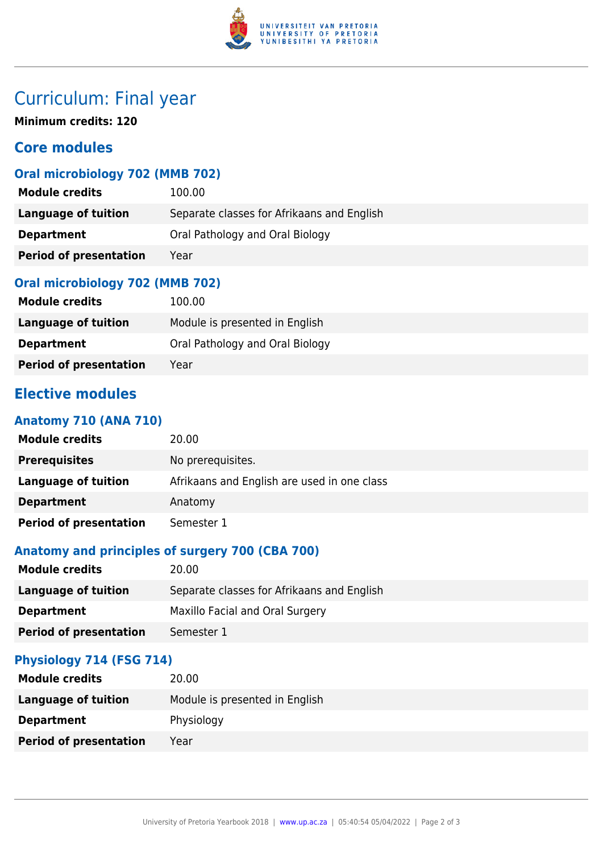

# Curriculum: Final year

**Minimum credits: 120**

### **Core modules**

### **Oral microbiology 702 (MMB 702)**

| <b>Module credits</b>         | 100.00                                     |
|-------------------------------|--------------------------------------------|
| Language of tuition           | Separate classes for Afrikaans and English |
| <b>Department</b>             | Oral Pathology and Oral Biology            |
| <b>Period of presentation</b> | Year                                       |

#### **Oral microbiology 702 (MMB 702)**

| <b>Module credits</b>         | 100.00                          |
|-------------------------------|---------------------------------|
| Language of tuition           | Module is presented in English  |
| <b>Department</b>             | Oral Pathology and Oral Biology |
| <b>Period of presentation</b> | Year                            |

### **Elective modules**

#### **Anatomy 710 (ANA 710)**

| <b>Module credits</b>         | 20.00                                       |
|-------------------------------|---------------------------------------------|
| <b>Prerequisites</b>          | No prerequisites.                           |
| Language of tuition           | Afrikaans and English are used in one class |
| <b>Department</b>             | Anatomy                                     |
| <b>Period of presentation</b> | Semester 1                                  |

#### **Anatomy and principles of surgery 700 (CBA 700)**

| <b>Module credits</b>         | 20.00                                      |
|-------------------------------|--------------------------------------------|
| Language of tuition           | Separate classes for Afrikaans and English |
| <b>Department</b>             | Maxillo Facial and Oral Surgery            |
| <b>Period of presentation</b> | Semester 1                                 |

#### **Physiology 714 (FSG 714)**

| <b>Module credits</b>         | 20.00                          |
|-------------------------------|--------------------------------|
| Language of tuition           | Module is presented in English |
| <b>Department</b>             | Physiology                     |
| <b>Period of presentation</b> | Year                           |